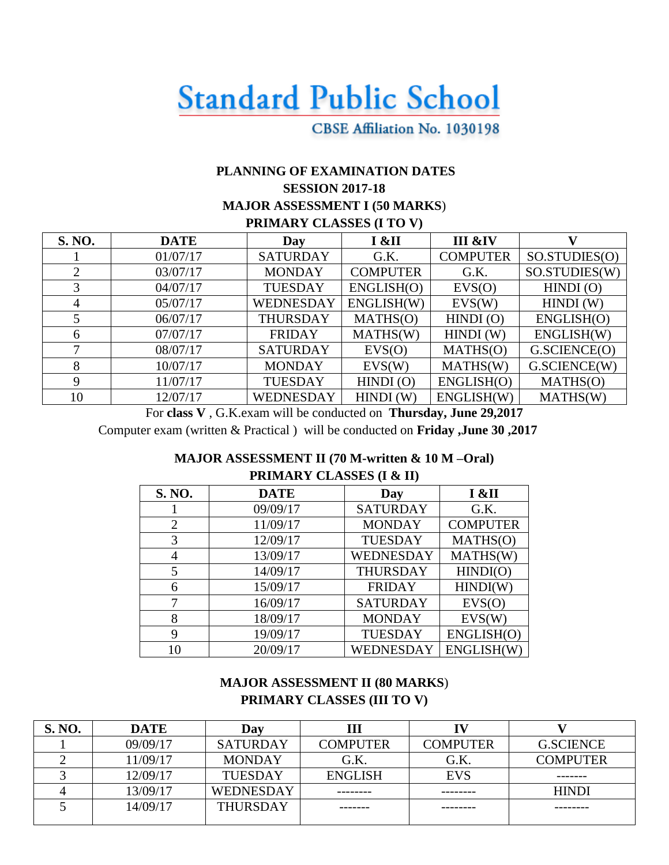# **Standard Public School**

## CBSE Affiliation No. 1030198

## **PLANNING OF EXAMINATION DATES SESSION 2017-18 MAJOR ASSESSMENT I (50 MARKS**) **PRIMARY CLASSES (I TO V)**

| S. NO. | <b>DATE</b> | Day              | I &II           | III &IV         |               |  |
|--------|-------------|------------------|-----------------|-----------------|---------------|--|
|        | 01/07/17    | <b>SATURDAY</b>  | G.K.            | <b>COMPUTER</b> | SO.STUDIES(O) |  |
| 2      | 03/07/17    | <b>MONDAY</b>    | <b>COMPUTER</b> | G.K.            | SO.STUDIES(W) |  |
| 3      | 04/07/17    | <b>TUESDAY</b>   | ENGLISH(O)      | EVS(O)          | HINDI(0)      |  |
| 4      | 05/07/17    | <b>WEDNESDAY</b> | ENGLISH(W)      | EVS(W)          | HINDI(W)      |  |
|        | 06/07/17    | <b>THURSDAY</b>  | MATHS(O)        | HINDI(O)        | ENGLISH(O)    |  |
| 6      | 07/07/17    | <b>FRIDAY</b>    | MATHS(W)        | HINDI(W)        | ENGLISH(W)    |  |
|        | 08/07/17    | <b>SATURDAY</b>  | EVS(O)          | MATHS(O)        | G.SCIENCE(O)  |  |
| 8      | 10/07/17    | <b>MONDAY</b>    | EVS(W)          | MATHS(W)        | G.SCIENCE(W)  |  |
| 9      | 11/07/17    | <b>TUESDAY</b>   | $HINDI$ (O)     | ENGLISH(O)      | MATHS(O)      |  |
| 10     | 12/07/17    | WEDNESDAY        | HINDI(W)        | ENGLISH(W)      | MATHS(W)      |  |

For **class V** , G.K.exam will be conducted on **Thursday, June 29,2017** Computer exam (written & Practical ) will be conducted on **Friday ,June 30 ,2017**

## **MAJOR ASSESSMENT II (70 M-written & 10 M –Oral) PRIMARY CLASSES (I & II)**

| S. NO.<br><b>DATE</b> |          | Day             | I &II           |  |
|-----------------------|----------|-----------------|-----------------|--|
|                       | 09/09/17 | <b>SATURDAY</b> | G.K.            |  |
| $\overline{2}$        | 11/09/17 | <b>MONDAY</b>   | <b>COMPUTER</b> |  |
| 3                     | 12/09/17 | <b>TUESDAY</b>  | MATHS(O)        |  |
| 4                     | 13/09/17 | WEDNESDAY       | MATHS(W)        |  |
| 5                     | 14/09/17 | <b>THURSDAY</b> | HINDI(O)        |  |
| 6                     | 15/09/17 | <b>FRIDAY</b>   | HINDI(W)        |  |
| 7                     | 16/09/17 | <b>SATURDAY</b> | EVS(O)          |  |
| 8                     | 18/09/17 | <b>MONDAY</b>   | EVS(W)          |  |
| 9                     | 19/09/17 | <b>TUESDAY</b>  | ENGLISH(O)      |  |
| 10                    | 20/09/17 | WEDNESDAY       | ENGLISH(W)      |  |

## **MAJOR ASSESSMENT II (80 MARKS**) **PRIMARY CLASSES (III TO V)**

| S. NO. | <b>DATE</b> | Day              | Ш               |                 |                  |
|--------|-------------|------------------|-----------------|-----------------|------------------|
|        | 09/09/17    | <b>SATURDAY</b>  | <b>COMPUTER</b> | <b>COMPUTER</b> | <b>G.SCIENCE</b> |
|        | 11/09/17    | <b>MONDAY</b>    | G.K.            | G.K.            | <b>COMPUTER</b>  |
|        | 12/09/17    | <b>TUESDAY</b>   | <b>ENGLISH</b>  | <b>EVS</b>      |                  |
|        | 13/09/17    | <b>WEDNESDAY</b> | --------        |                 | <b>HINDI</b>     |
|        | 14/09/17    | <b>THURSDAY</b>  |                 |                 |                  |
|        |             |                  |                 |                 |                  |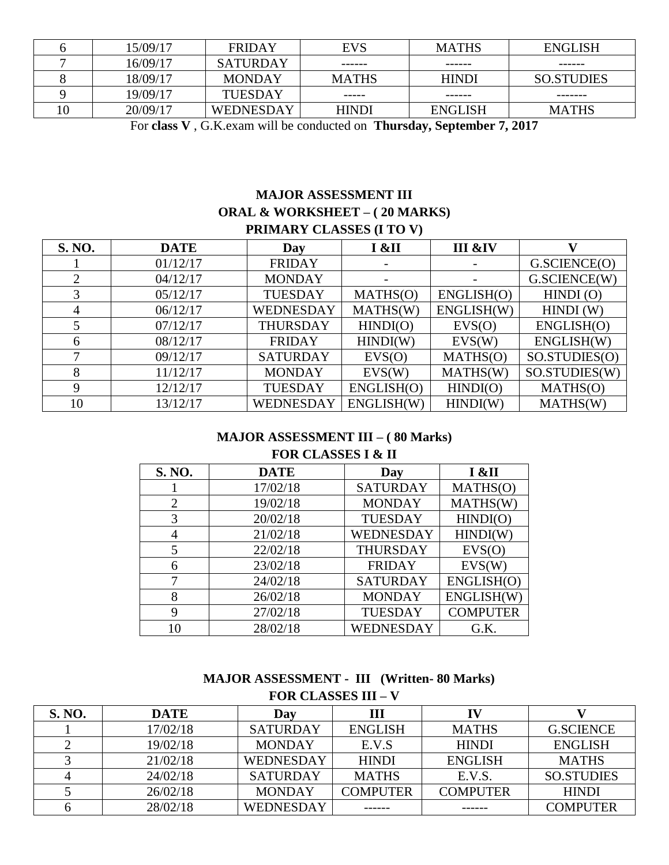| 15/09/17 | <b>FRIDAY</b>    | <b>EVS</b>   | <b>MATHS</b>   | ENGLISH           |
|----------|------------------|--------------|----------------|-------------------|
| 16/09/17 | <b>SATURDAY</b>  | ------       | ------         | ------            |
| 18/09/17 | <b>MONDAY</b>    | <b>MATHS</b> | <b>HINDI</b>   | <b>SO.STUDIES</b> |
| 19/09/17 | <b>TUESDAY</b>   | -----        | ------         | --------          |
| 20/09/17 | <b>WEDNESDAY</b> | <b>HINDI</b> | <b>ENGLISH</b> | <b>MATHS</b>      |

For **class V** , G.K.exam will be conducted on **Thursday, September 7, 2017**

## **MAJOR ASSESSMENT III ORAL & WORKSHEET – ( 20 MARKS) PRIMARY CLASSES (I TO V)**

| S. NO. | <b>DATE</b> | Day              | I &II      | III &IV    | V7            |  |
|--------|-------------|------------------|------------|------------|---------------|--|
|        | 01/12/17    | <b>FRIDAY</b>    |            |            | G.SCIENCE(O)  |  |
| 2      | 04/12/17    | <b>MONDAY</b>    |            |            | G.SCIENCE(W)  |  |
| 3      | 05/12/17    | <b>TUESDAY</b>   | MATHS(O)   | ENGLISH(O) | HINDI(0)      |  |
| 4      | 06/12/17    | WEDNESDAY        | MATHS(W)   | ENGLISH(W) | HINDI(W)      |  |
|        | 07/12/17    | <b>THURSDAY</b>  | HINDI(O)   | EVS(O)     | ENGLISH(O)    |  |
| 6      | 08/12/17    | <b>FRIDAY</b>    | HINDI(W)   | EVS(W)     | ENGLISH(W)    |  |
| 7      | 09/12/17    | <b>SATURDAY</b>  | EVS(O)     | MATHS(O)   | SO.STUDIES(O) |  |
| 8      | 11/12/17    | <b>MONDAY</b>    | EVS(W)     | MATHS(W)   | SO.STUDIES(W) |  |
| 9      | 12/12/17    | <b>TUESDAY</b>   | ENGLISH(O) | HINDI(O)   | MATHS(O)      |  |
| 10     | 13/12/17    | <b>WEDNESDAY</b> | ENGLISH(W) | HINDI(W)   | MATHS(W)      |  |

#### **MAJOR ASSESSMENT III – ( 80 Marks) FOR CLASSES I & II**

| S. NO. | <b>DATE</b> | Day             | I &II           |
|--------|-------------|-----------------|-----------------|
|        | 17/02/18    | <b>SATURDAY</b> | MATHS(O)        |
| 2      | 19/02/18    | <b>MONDAY</b>   | MATHS(W)        |
| 3      | 20/02/18    | <b>TUESDAY</b>  | HINDI(O)        |
| 4      | 21/02/18    | WEDNESDAY       | HINDI(W)        |
| 5      | 22/02/18    | <b>THURSDAY</b> | EVS(O)          |
| 6      | 23/02/18    | <b>FRIDAY</b>   | EVS(W)          |
| 7      | 24/02/18    | <b>SATURDAY</b> | ENGLISH(O)      |
| 8      | 26/02/18    | <b>MONDAY</b>   | ENGLISH(W)      |
| 9      | 27/02/18    | <b>TUESDAY</b>  | <b>COMPUTER</b> |
| 10     | 28/02/18    | WEDNESDAY       | G.K.            |

## **MAJOR ASSESSMENT - III (Written- 80 Marks) FOR CLASSES III – V**

| <b>S. NO.</b> | <b>DATE</b> | Day              | Ш               |                 |                   |
|---------------|-------------|------------------|-----------------|-----------------|-------------------|
|               | 17/02/18    | <b>SATURDAY</b>  | <b>ENGLISH</b>  | <b>MATHS</b>    | <b>G.SCIENCE</b>  |
|               | 19/02/18    | <b>MONDAY</b>    | E.V.S           | <b>HINDI</b>    | <b>ENGLISH</b>    |
|               | 21/02/18    | <b>WEDNESDAY</b> | <b>HINDI</b>    | <b>ENGLISH</b>  | <b>MATHS</b>      |
|               | 24/02/18    | <b>SATURDAY</b>  | <b>MATHS</b>    | E.V.S.          | <b>SO.STUDIES</b> |
|               | 26/02/18    | <b>MONDAY</b>    | <b>COMPUTER</b> | <b>COMPUTER</b> | <b>HINDI</b>      |
|               | 28/02/18    | WEDNESDAY        |                 | ------          | <b>COMPUTER</b>   |